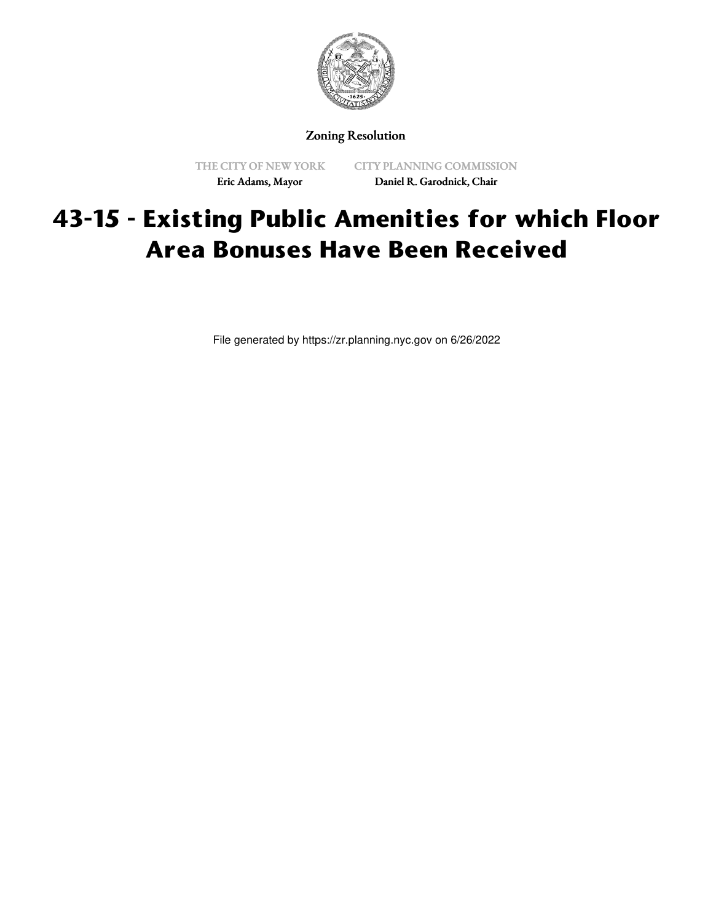

Zoning Resolution

THE CITY OF NEW YORK Eric Adams, Mayor

CITY PLANNING COMMISSION Daniel R. Garodnick, Chair

## **43-15 - Existing Public Amenities for which Floor Area Bonuses Have Been Received**

File generated by https://zr.planning.nyc.gov on 6/26/2022